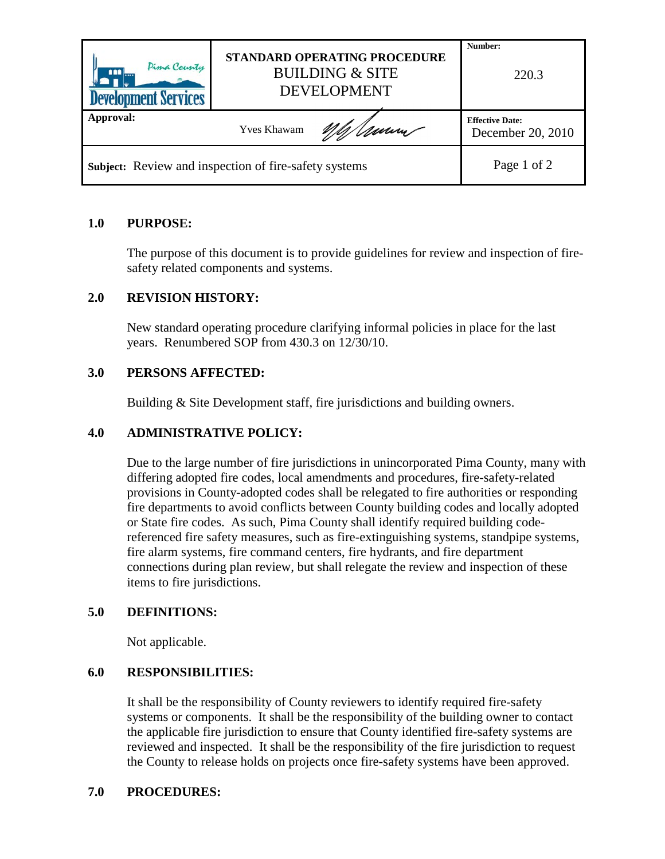| Pima County<br>m<br><b>Development Services</b>              | STANDARD OPERATING PROCEDURE<br><b>BUILDING &amp; SITE</b><br><b>DEVELOPMENT</b> | Number:<br>220.3                            |
|--------------------------------------------------------------|----------------------------------------------------------------------------------|---------------------------------------------|
| Approval:                                                    | <b>Yves Khawam</b>                                                               | <b>Effective Date:</b><br>December 20, 2010 |
| <b>Subject:</b> Review and inspection of fire-safety systems |                                                                                  | Page 1 of 2                                 |

# **1.0 PURPOSE:**

The purpose of this document is to provide guidelines for review and inspection of firesafety related components and systems.

# **2.0 REVISION HISTORY:**

New standard operating procedure clarifying informal policies in place for the last years. Renumbered SOP from 430.3 on 12/30/10.

## **3.0 PERSONS AFFECTED:**

Building & Site Development staff, fire jurisdictions and building owners.

## **4.0 ADMINISTRATIVE POLICY:**

Due to the large number of fire jurisdictions in unincorporated Pima County, many with differing adopted fire codes, local amendments and procedures, fire-safety-related provisions in County-adopted codes shall be relegated to fire authorities or responding fire departments to avoid conflicts between County building codes and locally adopted or State fire codes. As such, Pima County shall identify required building codereferenced fire safety measures, such as fire-extinguishing systems, standpipe systems, fire alarm systems, fire command centers, fire hydrants, and fire department connections during plan review, but shall relegate the review and inspection of these items to fire jurisdictions.

## **5.0 DEFINITIONS:**

Not applicable.

## **6.0 RESPONSIBILITIES:**

It shall be the responsibility of County reviewers to identify required fire-safety systems or components. It shall be the responsibility of the building owner to contact the applicable fire jurisdiction to ensure that County identified fire-safety systems are reviewed and inspected. It shall be the responsibility of the fire jurisdiction to request the County to release holds on projects once fire-safety systems have been approved.

## **7.0 PROCEDURES:**